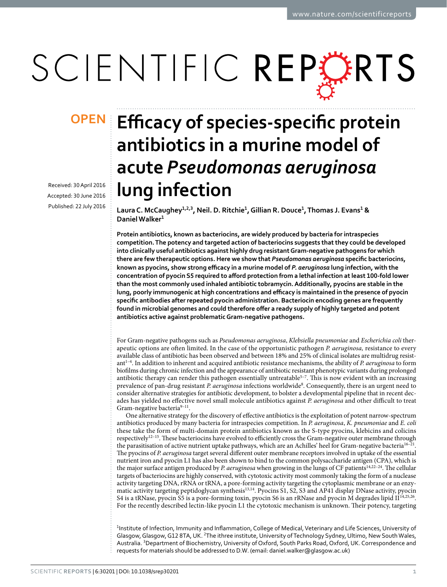# SCIENTIFIC REPERTS

Received: 30 April 2016 accepted: 30 June 2016 Published: 22 July 2016

## **Efficacy of species-specific protein OPENantibiotics in a murine model of acute** *Pseudomonas aeruginosa* **lung infection**

**LauraC. McCaughey1,2,3, Neil. D. Ritchie1, Gillian R. Douce1, Thomas J. Evans1 & DanielWalker1**

**Protein antibiotics, known as bacteriocins, are widely produced by bacteria for intraspecies competition. The potency and targeted action of bacteriocins suggests that they could be developed into clinically useful antibiotics against highly drug resistant Gram-negative pathogens for which there are few therapeutic options. Here we show that** *Pseudomonas aeruginosa* **specific bacteriocins, known as pyocins, show strong efficacy in a murine model of** *P. aeruginosa* **lung infection, with the concentration of pyocin S5 required to afford protection from a lethal infection at least 100-fold lower than the most commonly used inhaled antibiotic tobramycin. Additionally, pyocins are stable in the lung, poorly immunogenic at high concentrations and efficacy is maintained in the presence of pyocin specific antibodies after repeated pyocin administration. Bacteriocin encoding genes are frequently found in microbial genomes and could therefore offer a ready supply of highly targeted and potent antibiotics active against problematic Gram-negative pathogens.**

For Gram-negative pathogens such as *Pseudomonas aeruginosa*, *Klebsiella pneumoniae* and *Escherichia coli* therapeutic options are often limited. In the case of the opportunistic pathogen *P. aeruginosa,* resistance to every available class of antibiotic has been observed and between 18% and 25% of clinical isolates are multidrug resistant[1–4.](#page-6-0) In addition to inherent and acquired antibiotic resistance mechanisms, the ability of *P. aeruginosa* to form biofilms during chronic infection and the appearance of antibiotic resistant phenotypic variants during prolonged antibiotic therapy can render this pathogen essentially untreatable<sup>5-7</sup>. This is now evident with an increasing prevalence of pan-drug resistant P. aeruginosa infections worldwide<sup>8</sup>. Consequently, there is an urgent need to consider alternative strategies for antibiotic development, to bolster a developmental pipeline that in recent decades has yielded no effective novel small molecule antibiotics against *P. aeruginosa* and other difficult to treat Gram-negative bacteria<sup>9–11</sup>.

One alternative strategy for the discovery of effective antibiotics is the exploitation of potent narrow-spectrum antibiotics produced by many bacteria for intraspecies competition. In *P. aeruginosa*, *K. pneumoniae* and *E. coli* these take the form of multi-domain protein antibiotics known as the S-type pyocins, klebicins and colicins respectively<sup>12–15</sup>. These bacteriocins have evolved to efficiently cross the Gram-negative outer membrane through the parasitisation of active nutrient uptake pathways, which are an Achilles' heel for Gram-negative bacteria<sup>16-21</sup>. The pyocins of *P. aeruginosa* target several different outer membrane receptors involved in uptake of the essential nutrient iron and pyocin L1 has also been shown to bind to the common polysaccharide antigen (CPA), which is the major surface antigen produced by *P. aeruginosa* when growing in the lungs of CF patients<sup>14,22-24</sup>. The cellular targets of bacteriocins are highly conserved, with cytotoxic activity most commonly taking the form of a nuclease activity targeting DNA, rRNA or tRNA, a pore-forming activity targeting the cytoplasmic membrane or an enzymatic activity targeting peptidoglycan synthesi[s13](#page-6-8)[,14](#page-6-6). Pyocins S1, S2, S3 and AP41 display DNase activity, pyocin S4 is a tRNase, pyocin S5 is a pore-forming toxin, pyocin S6 is an rRNase and pyocin M degrades lipid II<sup>[14](#page-6-6),[25,](#page-6-9)26</sup>. For the recently described lectin-like pyocin L1 the cytotoxic mechanism is unknown. Their potency, targeting

<sup>1</sup>Institute of Infection, Immunity and Inflammation, College of Medical, Veterinary and Life Sciences, University of Glasgow, Glasgow, G12 8TA, UK. <sup>2</sup>The ithree institute, University of Technology Sydney, Ultimo, New South Wales, Australia. <sup>3</sup>Department of Biochemistry, University of Oxford, South Parks Road, Oxford, UK. Correspondence and requests for materials should be addressed to D.W. (email: [daniel.walker@glasgow.ac.uk\)](mailto:daniel.walker@glasgow.ac.uk)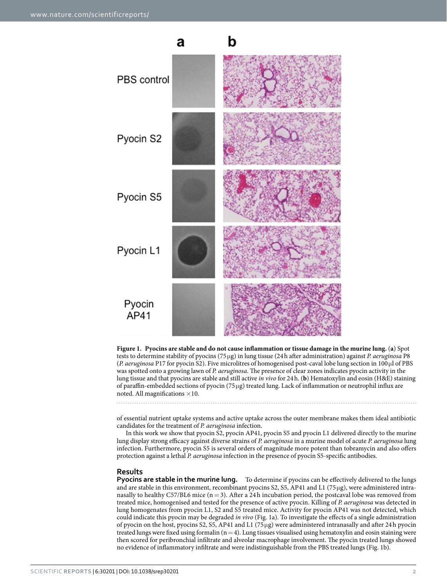

<span id="page-1-0"></span>**Figure 1. Pyocins are stable and do not cause inflammation or tissue damage in the murine lung.** (**a**) Spot tests to determine stability of pyocins (75μg) in lung tissue (24h after administration) against *P. aeruginosa* P8 (*P. aeruginosa* P17 for pyocin S2). Five microlitres of homogenised post-caval lobe lung section in 100μl of PBS was spotted onto a growing lawn of *P. aeruginosa*. The presence of clear zones indicates pyocin activity in the lung tissue and that pyocins are stable and still active *in vivo* for 24h. (**b**) Hematoxylin and eosin (H&E) staining of paraffin-embedded sections of pyocin (75μg) treated lung. Lack of inflammation or neutrophil influx are noted. All magnifications  $\times 10$ .

of essential nutrient uptake systems and active uptake across the outer membrane makes them ideal antibiotic candidates for the treatment of *P. aeruginosa* infection.

In this work we show that pyocin S2, pyocin AP41, pyocin S5 and pyocin L1 delivered directly to the murine lung display strong efficacy against diverse strains of *P. aeruginosa* in a murine model of acute *P. aeruginosa* lung infection. Furthermore, pyocin S5 is several orders of magnitude more potent than tobramycin and also offers protection against a lethal *P. aeruginosa* infection in the presence of pyocin S5-specific antibodies.

#### **Results**

**Pyocins are stable in the murine lung.** To determine if pyocins can be effectively delivered to the lungs and are stable in this environment, recombinant pyocins S2, S5, AP41 and L1 (75μg), were administered intranasally to healthy C57/BL6 mice  $(n=3)$ . After a 24 h incubation period, the postcaval lobe was removed from treated mice, homogenised and tested for the presence of active pyocin. Killing of *P. aeruginosa* was detected in lung homogenates from pyocin L1, S2 and S5 treated mice. Activity for pyocin AP41 was not detected, which could indicate this pyocin may be degraded *in vivo* ([Fig. 1a](#page-1-0)). To investigate the effects of a single administration of pyocin on the host, pyocins S2, S5, AP41 and L1 (75μg) were administered intranasally and after 24h pyocin treated lungs were fixed using formalin  $(n=4)$ . Lung tissues visualised using hematoxylin and eosin staining were then scored for peribronchial infiltrate and alveolar macrophage involvement. The pyocin treated lungs showed no evidence of inflammatory infiltrate and were indistinguishable from the PBS treated lungs [\(Fig. 1b\)](#page-1-0).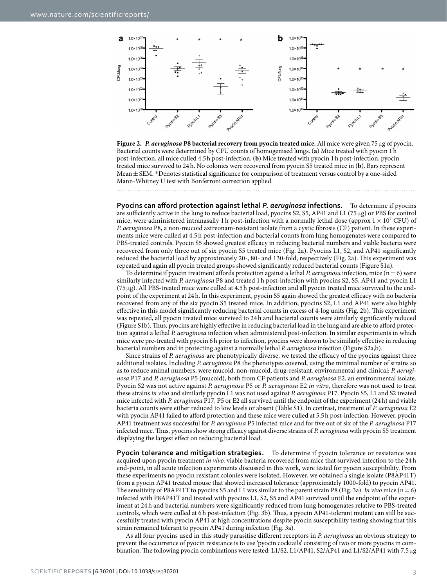

<span id="page-2-0"></span>

**Pyocins can afford protection against lethal** *P. aeruginosa* **infections.** To determine if pyocins are sufficiently active in the lung to reduce bacterial load, pyocins S2, S5, AP41 and L1 (75μg) or PBS for control mice, were administered intranasally 1 h post-infection with a normally lethal dose (approx  $1 \times 10^7$  CFU) of *P. aeruginosa* P8, a non-mucoid aztreonam-resistant isolate from a cystic fibrosis (CF) patient. In these experiments mice were culled at 4.5 h post-infection and bacterial counts from lung homogenates were compared to PBS-treated controls. Pyocin S5 showed greatest efficacy in reducing bacterial numbers and viable bacteria were recovered from only three out of six pyocin S5 treated mice ([Fig. 2a](#page-2-0)). Pyocins L1, S2, and AP41 significantly reduced the bacterial load by approximately 20-, 80- and 130-fold, respectively ([Fig. 2a\)](#page-2-0). This experiment was repeated and again all pyocin treated groups showed significantly reduced bacterial counts (Figure S1a).

To determine if pyocin treatment affords protection against a lethal *P. aeruginosa* infection, mice (n=6) were similarly infected with *P. aeruginosa* P8 and treated 1h post-infection with pyocins S2, S5, AP41 and pyocin L1 (75μg). All PBS-treated mice were culled at 4.5h post-infection and all pyocin treated mice survived to the endpoint of the experiment at 24h. In this experiment, pyocin S5 again showed the greatest efficacy with no bacteria recovered from any of the six pyocin S5 treated mice. In addition, pyocins S2, L1 and AP41 were also highly effective in this model significantly reducing bacterial counts in excess of 4-log units ([Fig. 2b\)](#page-2-0). This experiment was repeated, all pyocin treated mice survived to 24 h and bacterial counts were similarly significantly reduced (Figure S1b). Thus, pyocins are highly effective in reducing bacterial load in the lung and are able to afford protection against a lethal *P. aeruginosa* infection when administered post-infection. In similar experiments in which mice were pre-treated with pyocin 6h prior to infection, pyocins were shown to be similarly effective in reducing bacterial numbers and in protecting against a normally lethal *P. aeruginosa* infection (Figure S2a,b).

Since strains of *P. aeruginosa* are phenotypically diverse, we tested the efficacy of the pyocins against three additional isolates. Including *P. aeruginosa* P8 the phenotypes covered, using the minimal number of strains so as to reduce animal numbers, were mucoid, non-mucoid, drug-resistant, environmental and clinical: *P. aeruginosa* P17 and *P. aeruginosa* P5 (mucoid), both from CF patients and *P. aeruginosa* E2, an environmental isolate. Pyocin S2 was not active against *P. aeruginosa* P5 or *P. aeruginosa* E2 *in vitro*, therefore was not used to treat these strains *in vivo* and similarly pyocin L1 was not used against *P. aeruginosa* P17. Pyocin S5, L1 and S2 treated mice infected with *P. aeruginosa* P17, P5 or E2 all survived until the endpoint of the experiment (24h) and viable bacteria counts were either reduced to low levels or absent (Table S1). In contrast, treatment of *P. aeruginosa* E2 with pyocin AP41 failed to afford protection and these mice were culled at 5.5h post-infection. However, pyocin AP41 treatment was successful for *P. aeruginosa* P5 infected mice and for five out of six of the *P. aeruginosa* P17 infected mice. Thus, pyocins show strong efficacy against diverse strains of *P. aeruginosa* with pyocin S5 treatment displaying the largest effect on reducing bacterial load.

**Pyocin tolerance and mitigation strategies.** To determine if pyocin tolerance or resistance was acquired upon pyocin treatment *in vivo,* viable bacteria recovered from mice that survived infection to the 24h end-point, in all acute infection experiments discussed in this work, were tested for pyocin susceptibility. From these experiments no pyocin resistant colonies were isolated. However, we obtained a single isolate (P8AP41T) from a pyocin AP41 treated mouse that showed increased tolerance (approximately 1000-fold) to pyocin AP41. The sensitivity of P8AP41T to pyocins S5 and L1 was similar to the parent strain P8 ([Fig. 3a](#page-3-0)). *In vivo* mice  $(n=6)$ infected with P8AP41T and treated with pyocins L1, S2, S5 and AP41 survived until the endpoint of the experiment at 24 h and bacterial numbers were significantly reduced from lung homogenates relative to PBS-treated controls, which were culled at 6h post-infection ([Fig. 3b\)](#page-3-0). Thus, a pyocin AP41-tolerant mutant can still be successfully treated with pyocin AP41 at high concentrations despite pyocin susceptibility testing showing that this strain remained tolerant to pyocin AP41 during infection [\(Fig. 3a](#page-3-0)).

As all four pyocins used in this study parasitise different receptors in *P. aeruginosa* an obvious strategy to prevent the occurrence of pyocin resistance is to use 'pyocin cocktails' consisting of two or more pyocins in combination. The following pyocin combinations were tested: L1/S2, L1/AP41, S2/AP41 and L1/S2/AP41 with 7.5μg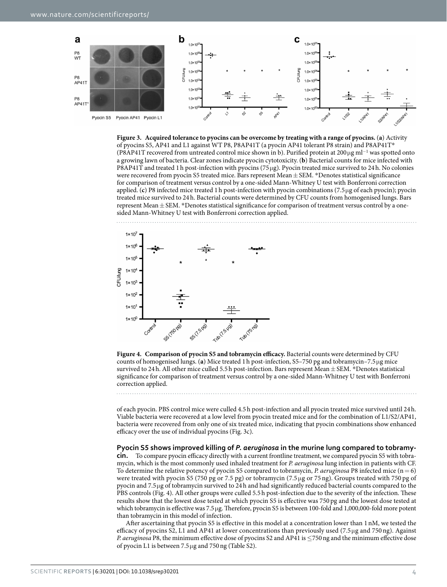

<span id="page-3-0"></span>



<span id="page-3-1"></span>**Figure 4. Comparison of pyocin S5 and tobramycin efficacy.** Bacterial counts were determined by CFU counts of homogenised lungs. (**a**) Mice treated 1h post-infection, S5–750 pg and tobramycin–7.5μg mice survived to 24h. All other mice culled 5.5 h post-infection. Bars represent Mean $\pm$ SEM. \*Denotes statistical significance for comparison of treatment versus control by a one-sided Mann-Whitney U test with Bonferroni correction applied.

of each pyocin. PBS control mice were culled 4.5h post-infection and all pyocin treated mice survived until 24h. Viable bacteria were recovered at a low level from pyocin treated mice and for the combination of L1/S2/AP41, bacteria were recovered from only one of six treated mice, indicating that pyocin combinations show enhanced efficacy over the use of individual pyocins [\(Fig. 3c\)](#page-3-0).

#### **Pyocin S5 shows improved killing of** *P. aeruginosa* **in the murine lung compared to tobramy-**

**cin.** To compare pyocin efficacy directly with a current frontline treatment, we compared pyocin S5 with tobramycin, which is the most commonly used inhaled treatment for *P. aeruginosa* lung infection in patients with CF. To determine the relative potency of pyocin S5 compared to tobramycin, *P. aeruginosa* P8 infected mice (n= 6) were treated with pyocin S5 (750 pg or 7.5 pg) or tobramycin (7.5 μg or 75 ng). Groups treated with 750 pg of pyocin and 7.5μg of tobramycin survived to 24h and had significantly reduced bacterial counts compared to the PBS controls [\(Fig. 4](#page-3-1)). All other groups were culled 5.5h post-infection due to the severity of the infection. These results show that the lowest dose tested at which pyocin S5 is effective was 750 pg and the lowest dose tested at which tobramycin is effective was 7.5μg. Therefore, pyocin S5 is between 100-fold and 1,000,000-fold more potent than tobramycin in this model of infection.

After ascertaining that pyocin S5 is effective in this model at a concentration lower than 1 nM, we tested the efficacy of pyocins S2, L1 and AP41 at lower concentrations than previously used (7.5μg and 750 ng). Against *P. aeruginosa* P8, the minimum effective dose of pyocins S2 and AP41 is ≤750 ng and the minimum effective dose of pyocin L1 is between 7.5μg and 750ng (Table S2).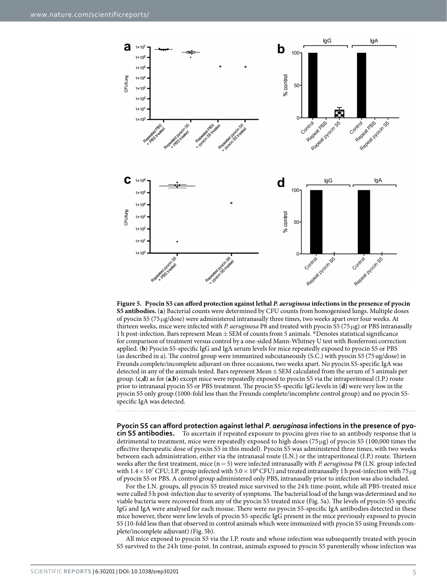

<span id="page-4-0"></span>**Figure 5. Pyocin S5 can afford protection against lethal** *P. aeruginosa* **infections in the presence of pyocin S5 antibodies.** (**a**) Bacterial counts were determined by CFU counts from homogenised lungs. Multiple doses of pyocin S5 (75μg/dose) were administered intranasally three times, two weeks apart over four weeks. At thirteen weeks, mice were infected with *P. aeruginosa* P8 and treated with pyocin S5 (75μg) or PBS intranasally 1h post-infection. Bars represent Mean±SEM of counts from 5 animals. \*Denotes statistical significance for comparison of treatment versus control by a one-sided Mann-Whitney U test with Bonferroni correction applied. (**b**) Pyocin S5-specific IgG and IgA serum levels for mice repeatedly exposed to pyocin S5 or PBS (as described in a). The control group were immunized subcutaneously (S.C.) with pyocin S5 (75ug/dose) in Freunds complete/incomplete adjuvant on three occasions, two weeks apart. No pyocin S5-specific IgA was detected in any of the animals tested. Bars represent Mean $\pm$  SEM calculated from the serum of 5 animals per group. (**c**,**d**) as for (**a**,**b**) except mice were repeatedly exposed to pyocin S5 via the intraperitoneal (I.P.) route prior to intranasal pyocin S5 or PBS treatment. The pyocin S5-specific IgG levels in (**d**) were very low in the pyocin S5 only group (1000-fold less than the Freunds complete/incomplete control group) and no pyocin S5 specific IgA was detected.

**Pyocin S5 can afford protection against lethal** *P. aeruginosa* **infections in the presence of pyocin S5 antibodies.** To ascertain if repeated exposure to pyocins gives rise to an antibody response that is detrimental to treatment, mice were repeatedly exposed to high doses (75 μg) of pyocin S5 (100,000 times the effective therapeutic dose of pyocin S5 in this model). Pyocin S5 was administered three times, with two weeks between each administration, either via the intranasal route (I.N.) or the intraperitoneal (I.P.) route. Thirteen weeks after the first treatment, mice (n=5) were infected intranasally with *P. aeruginosa* P8 (I.N. group infected with  $1.4 \times 10^7$  CFU; I.P. group infected with  $5.0 \times 10^6$  CFU) and treated intranasally 1 h post-infection with 75 µg of pyocin S5 or PBS. A control group administered only PBS, intranasally prior to infection was also included.

For the I.N. groups, all pyocin S5 treated mice survived to the 24 h time-point, while all PBS-treated mice were culled 5h post-infection due to severity of symptoms. The bacterial load of the lungs was determined and no viable bacteria were recovered from any of the pyocin S5 treated mice [\(Fig. 5a](#page-4-0)). The levels of pyocin-S5 specific IgG and IgA were analysed for each mouse. There were no pyocin S5-specific IgA antibodies detected in these mice however, there were low levels of pyocin S5-specific IgG present in the mice previously exposed to pyocin S5 (10-fold less than that observed in control animals which were immunized with pyocin S5 using Freunds complete/incomplete adjuvant) ([Fig. 5b](#page-4-0)).

All mice exposed to pyocin S5 via the I.P. route and whose infection was subsequently treated with pyocin S5 survived to the 24 h time-point. In contrast, animals exposed to pyocin S5 parenterally whose infection was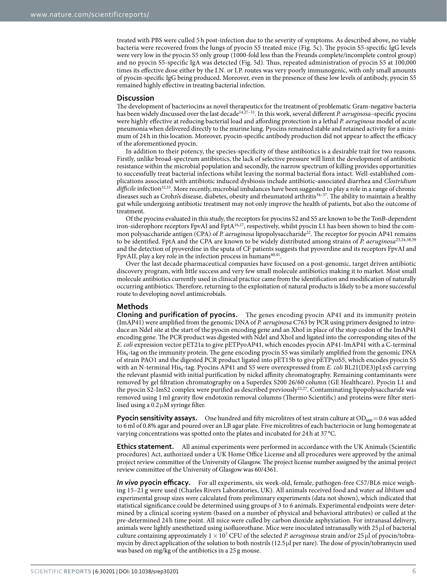treated with PBS were culled 5 h post-infection due to the severity of symptoms. As described above, no viable bacteria were recovered from the lungs of pyocin S5 treated mice [\(Fig. 5c\)](#page-4-0). The pyocin S5-specific IgG levels were very low in the pyocin S5 only group (1000-fold less than the Freunds complete/incomplete control group) and no pyocin S5-specific IgA was detected ([Fig. 5d](#page-4-0)). Thus, repeated administration of pyocin S5 at 100,000 times its effective dose either by the I.N. or I.P. routes was very poorly immunogenic, with only small amounts of pyocin-specific IgG being produced. Moreover, even in the presence of these low levels of antibody, pyocin S5 remained highly effective in treating bacterial infection.

#### **Discussion**

The development of bacteriocins as novel therapeutics for the treatment of problematic Gram-negative bacteria has been widely discussed over the last decad[e14](#page-6-6)[,27–31](#page-7-1). In this work, several different *P. aeruginosa*–specific pyocins were highly effective at reducing bacterial load and affording protection in a lethal *P. aeruginosa* model of acute pneumonia when delivered directly to the murine lung. Pyocins remained stable and retained activity for a minimum of 24h in this location. Moreover, pyocin-specific antibody production did not appear to affect the efficacy of the aforementioned pyocin.

In addition to their potency, the species-specificity of these antibiotics is a desirable trait for two reasons. Firstly, unlike broad-spectrum antibiotics, the lack of selective pressure will limit the development of antibiotic resistance within the microbial population and secondly, the narrow spectrum of killing provides opportunities to successfully treat bacterial infections whilst leaving the normal bacterial flora intact. Well-established complications associated with antibiotic induced dysbiosis include antibiotic-associated diarrhea and *Clostridium difficile* infection[32,](#page-7-2)[33.](#page-7-3) More recently, microbial imbalances have been suggested to play a role in a range of chronic diseases such as Crohn's disease, diabetes, obesity and rheumatoid arthriti[s34–37.](#page-7-4) The ability to maintain a healthy gut while undergoing antibiotic treatment may not only improve the health of patients, but also the outcome of treatment.

Of the pyocins evaluated in this study, the receptors for pyocins S2 and S5 are known to be the TonB-dependent iron-siderophore receptors FpvAI and FptA<sup>16,17</sup>, respectively, whilst pyocin L1 has been shown to bind the common polysaccharide antigen (CPA) of *P. aeruginosa* lipopolysaccharide<sup>22</sup>. The receptor for pyocin AP41 remains to be identified. FptA and the CPA are known to be widely distributed among strains of *P. aeruginosa*[23](#page-6-11),[24](#page-6-12),[38,](#page-7-5)[39](#page-7-6) and the detection of pyoverdine in the sputa of CF patients suggests that pyoverdine and its receptors FpvAI and FpvAII, play a key role in the infection process in humans<sup>[40](#page-7-7),[41](#page-7-8)</sup>.

Over the last decade pharmaceutical companies have focused on a post-genomic, target driven antibiotic discovery program, with little success and very few small molecule antibiotics making it to market. Most small molecule antibiotics currently used in clinical practice came from the identification and modification of naturally occurring antibiotics. Therefore, returning to the exploitation of natural products is likely to be a more successful route to developing novel antimicrobials.

#### **Methods**

**Cloning and purification of pyocins.** The genes encoding pyocin AP41 and its immunity protein (ImAP41) were amplified from the genomic DNA of *P. aeruginosa* C763 by PCR using primers designed to introduce an NdeI site at the start of the pyocin encoding gene and an XhoI in place of the stop codon of the ImAP41 encoding gene. The PCR product was digested with NdeI and XhoI and ligated into the corresponding sites of the *E. coli* expression vector pET21a to give pETPyoAP41, which encodes pyocin AP41-ImAP41 with a C-terminal His<sub>6</sub>-tag on the immunity protein. The gene encoding pyocin S5 was similarly amplified from the genomic DNA of strain PAO1 and the digested PCR product ligated into pET15b to give pETPyoS5, which encodes pyocin S5 with an N-terminal His<sub>6</sub>-tag. Pyocins AP41 and S5 were overexpressed from *E. coli* BL21(DE3)pLysS carrying the relevant plasmid with initial purification by nickel affinity chromatography. Remaining contaminants were removed by gel filtration chromatography on a Superdex S200 26/60 column (GE Healthcare). Pyocin L1 and the pyocin S2-ImS2 complex were purified as described previously<sup>22,[27](#page-7-1)</sup>. Contaminating lipopolysaccharide was removed using 1ml gravity flow endotoxin removal columns (Thermo Scientific) and proteins were filter sterilised using a  $0.2 \mu$ M syringe filter.

**Pyocin sensitivity assays.** One hundred and fifty microlitres of test strain culture at  $OD_{600} = 0.6$  was added to 6ml of 0.8% agar and poured over an LB agar plate. Five microlitres of each bacteriocin or lung homogenate at varying concentrations was spotted onto the plates and incubated for 24h at 37 °C.

**Ethics statement.** All animal experiments were performed in accordance with the UK Animals (Scientific procedures) Act, authorized under a UK Home Office License and all procedures were approved by the animal project review committee of the University of Glasgow. The project license number assigned by the animal project review committee of the University of Glasgow was 60/4361.

*In vivo* **pyocin efficacy.** For all experiments, six week-old, female, pathogen-free C57/BL6 mice weighing 15–21 g were used (Charles Rivers Laboratories, UK). All animals received food and water *ad libitum* and experimental group sizes were calculated from preliminary experiments (data not shown), which indicated that statistical significance could be determined using groups of 3 to 6 animals. Experimental endpoints were determined by a clinical scoring system (based on a number of physical and behavioral attributes) or culled at the pre-determined 24 h time point. All mice were culled by carbon dioxide asphyxiation. For intranasal delivery, animals were lightly anesthetized using isofluorothane. Mice were inoculated intranasally with 25μl of bacterial culture containing approximately 1× 107 CFU of the selected *P. aeruginosa* strain and/or 25 μl of pyocin/tobramycin by direct application of the solution to both nostrils (12.5μl per nare). The dose of pyocin/tobramycin used was based on mg/kg of the antibiotics in a 25 g mouse.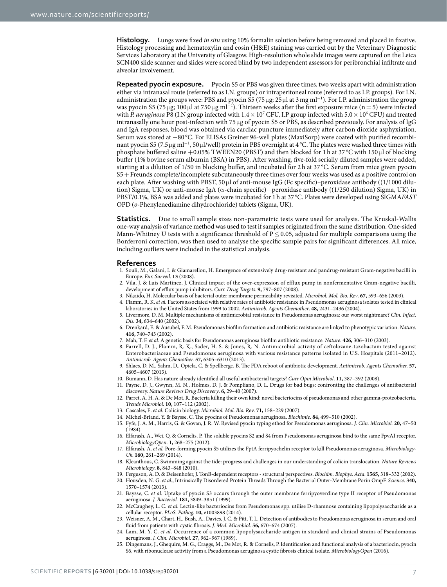**Histology.** Lungs were fixed *in situ* using 10% formalin solution before being removed and placed in fixative. Histology processing and hematoxylin and eosin (H&E) staining was carried out by the Veterinary Diagnostic Services Laboratory at the University of Glasgow. High-resolution whole slide images were captured on the Leica SCN400 slide scanner and slides were scored blind by two independent assessors for peribronchial infiltrate and alveolar involvement.

**Repeated pyocin exposure.** Pyocin S5 or PBS was given three times, two weeks apart with administration either via intranasal route (referred to as I.N. groups) or intraperitoneal route (referred to as I.P. groups). For I.N. administration the groups were: PBS and pyocin S5 (75 μg; 25 μl at 3 mg ml<sup>−1</sup>). For I.P. administration the group was pyocin S5 (75 μg; 100 μl at 750 μg ml<sup>-1</sup>). Thirteen weeks after the first exposure mice (n = 5) were infected with *P. aeruginosa* P8 (I.N group infected with  $1.4 \times 10^7$  CFU, I.P group infected with  $5.0 \times 10^6$  CFU) and treated intranasally one hour post-infection with 75 μg of pyocin S5 or PBS, as described previously. For analysis of IgG and IgA responses, blood was obtained via cardiac puncture immediately after carbon dioxide asphyxiation. Serum was stored at −80 °C. For ELISAs Greiner 96-well plates (MaxiSorp) were coated with purified recombinant pyocin S5 (7.5µg ml<sup>-1</sup>, 50µl/well) protein in PBS overnight at 4 °C. The plates were washed three times with phosphate buffered saline +0.05% TWEEN20 (PBST) and then blocked for 1h at 37 °C with 150 μl of blocking buffer (1% bovine serum albumin (BSA) in PBS). After washing, five-fold serially diluted samples were added, starting at a dilution of 1/50 in blocking buffer, and incubated for 2 h at 37 °C. Serum from mice given pyocin S5+Freunds complete/incomplete subcutaneously three times over four weeks was used as a positive control on each plate. After washing with PBST, 50 μl of anti-mouse IgG (Fc specific)–peroxidase antibody ((1/1000 dilution) Sigma, UK) or anti-mouse IgA (α-chain specific)−peroxidase antibody ((1/250 dilution) Sigma, UK) in PBST/0.1%, BSA was added and plates were incubated for 1h at 37 °C. Plates were developed using SIGMA*FAST* OPD (*o*-Phenylenediamine dihydrochloride) tablets (Sigma, UK).

**Statistics.** Due to small sample sizes non-parametric tests were used for analysis. The Kruskal-Wallis one-way analysis of variance method was used to test if samples originated from the same distribution. One-sided Mann-Whitney U tests with a significance threshold of  $P \le 0.05$ , adjusted for multiple comparisons using the Bonferroni correction, was then used to analyse the specific sample pairs for significant differences. All mice, including outliers were included in the statistical analysis.

#### **References**

- <span id="page-6-0"></span>1. Souli, M., Galani, I. & Giamarellou, H. Emergence of extensively drug-resistant and pandrug-resistant Gram-negative bacilli in Europe. *Eur. Surveil*. **13** (2008).
- 2. Vila, J. & Luis Martinez, J. Clinical impact of the over-expression of efflux pump in nonfermentative Gram-negative bacilli, development of efflux pump inhibitors. *Curr. Drug Targets*. **9,** 797–807 (2008).
- 3. Nikaido, H. Molecular basis of bacterial outer membrane permeability revisited. *Microbiol. Mol. Bio. Rev*. **67,** 593–656 (2003).
- 4. Flamm, R. K. *et al.* Factors associated with relative rates of antibiotic resistance in Pseudomonas aeruginosa isolates tested in clinical laboratories in the United States from 1999 to 2002. *Antimicrob. Agents Chemother*. **48,** 2431–2436 (2004).
- <span id="page-6-1"></span>5. Livermore, D. M. Multiple mechanisms of antimicrobial resistance in Pseudomonas aeruginosa: our worst nightmare? *Clin. Infect. Dis.* **34,** 634–640 (2002).
- 6. Drenkard, E. & Ausubel, F. M. Pseudomonas biofilm formation and antibiotic resistance are linked to phenotypic variation. *Nature*. **416,** 740–743 (2002).
- 7. Mah, T. F. *et al.* A genetic basis for Pseudomonas aeruginosa biofilm antibiotic resistance. *Nature*. **426,** 306–310 (2003).
- <span id="page-6-2"></span>8. Farrell, D. J., Flamm, R. K., Sader, H. S. & Jones, R. N. Antimicrobial activity of ceftolozane-tazobactam tested against Enterobacteriaceae and Pseudomonas aeruginosa with various resistance patterns isolated in U.S. Hospitals (2011–2012). *Antimicrob. Agents Chemother.* **57,** 6305–6310 (2013).
- <span id="page-6-3"></span>9. Shlaes, D. M., Sahm, D., Opiela, C. & Spellbergc, B. The FDA reboot of antibiotic development. *Antimicrob. Agents Chemother.* **57,** 4605–4607 (2013).
- 10. Bumann, D. Has nature already identified all useful antibacterial targets? *Curr Opin Microbiol*. **11,** 387–392 (2008).
- 11. Payne, D. J., Gwynn, M. N., Holmes, D. J. & Pompliano, D. L. Drugs for bad bugs: confronting the challenges of antibacterial discovery. *Nature Reviews Drug Discovery*. **6,** 29–40 (2007).
- <span id="page-6-4"></span>12. Parret, A. H. A. & De Mot, R. Bacteria killing their own kind: novel bacteriocins of pseudomonas and other gamma-proteobacteria. *Trends Microbiol.* **10,** 107–112 (2002).
- <span id="page-6-8"></span><span id="page-6-6"></span>13. Cascales, E. *et al.* Colicin biology. *Microbiol. Mol. Bio. Rev*. **71,** 158–229 (2007).
- 14. Michel-Briand, Y. & Baysse, C. The pyocins of Pseudomonas aeruginosa. *Biochimie*. **84,** 499–510 (2002).
- 15. Fyfe, J. A. M., Harris, G. & Govan, J. R. W. Revised pyocin typing ethod for Pseudomonas aeruginosa. *J. Clin. Microbiol.* **20,** 47–50 (1984).
- <span id="page-6-5"></span>16. Elfarash, A., Wei, Q. & Cornelis, P. The soluble pyocins S2 and S4 from Pseudomonas aeruginosa bind to the same FpvAI receptor. *MicrobiologyOpen*. **1,** 268–275 (2012).
- <span id="page-6-10"></span>17. Elfarash, A. *et al.* Pore-forming pyocin S5 utilizes the FptA ferripyochelin receptor to kill Pseudomonas aeruginosa. *Microbiology-Uk*. **160,** 261–269 (2014).
- 18. Kleanthous, C. Swimming against the tide: progress and challenges in our understanding of colicin translocation. *Nature Reviews Microbiology*. **8,** 843–848 (2010).
- 19. Ferguson, A. D. & Deisenhofer, J. TonB-dependent receptors structural perspectives. *Biochim. Biophys. Acta*. **1565,** 318–332 (2002).
- 20. Housden, N. G. *et al.*, Intrinsically Disordered Protein Threads Through the Bacterial Outer-Membrane Porin OmpF. *Science*. **340,** 1570–1574 (2013).
- 21. Baysse, C. *et al.* Uptake of pyocin S3 occurs through the outer membrane ferripyoverdine type II receptor of Pseudomonas aeruginosa. *J. Bacteriol.* **181,** 3849–3851 (1999).
- <span id="page-6-7"></span>22. McCaughey, L. C. *et al.* Lectin-like bacteriocins from Pseudomonas spp. utilise D-rhamnose containing lipopolysaccharide as a cellular receptor. *PLoS. Pathog.* **10,** e1003898 (2014).
- <span id="page-6-11"></span>23. Weisner, A. M., Chart, H., Bush, A., Davies, J. C. & Pitt, T. L. Detection of antibodies to Pseudomonas aeruginosa in serum and oral fluid from patients with cystic fibrosis. *J. Med. Microbiol.* **56,** 670–674 (2007).
- <span id="page-6-12"></span>24. Lam, M. Y. C. *et al.* Occurrence of a common lipopolysaccharide antigen in standard and clinical strains of Pseudomonas aeruginosa. *J. Clin. Microbiol.* **27,** 962–967 (1989).
- <span id="page-6-9"></span>25. Dingemans, J., Ghequire, M. G., Craggs, M., De Mot, R. & Cornelis, P. Identification and functional analysis of a bacteriocin, pyocin S6, with ribonuclease activity from a Pseudomonas aeruginosa cystic fibrosis clinical isolate. *MicrobiologyOpen* (2016).